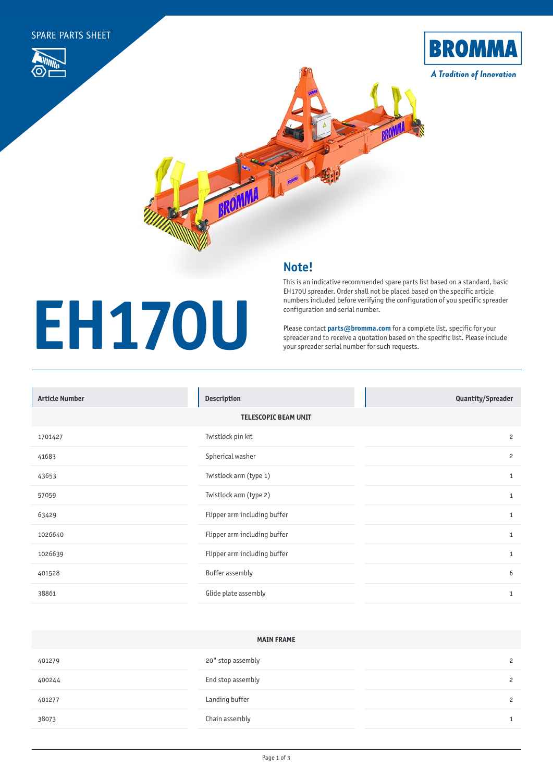**EH170U**







## **Note!**

## This is an indicative recommended spare parts list based on a standard, basic EH170U spreader. Order shall not be placed based on the specific article numbers included before verifying the configuration of you specific spreader configuration and serial number.

Please contact **[parts@bromma.com](mailto:parts%40bromma.com?subject=)** for a complete list, specific for your spreader and to receive a quotation based on the specific list. Please include your spreader serial number for such requests.

| <b>Article Number</b>       | <b>Description</b>           | Quantity/Spreader |  |  |
|-----------------------------|------------------------------|-------------------|--|--|
| <b>TELESCOPIC BEAM UNIT</b> |                              |                   |  |  |
| 1701427                     | Twistlock pin kit            | $\overline{c}$    |  |  |
| 41683                       | Spherical washer             | $\overline{c}$    |  |  |
| 43653                       | Twistlock arm (type 1)       | $\mathbf{1}$      |  |  |
| 57059                       | Twistlock arm (type 2)       | $\mathbf{1}$      |  |  |
| 63429                       | Flipper arm including buffer | 1                 |  |  |
| 1026640                     | Flipper arm including buffer | $\mathbf{1}$      |  |  |
| 1026639                     | Flipper arm including buffer | $\mathbf{1}$      |  |  |
| 401528                      | <b>Buffer assembly</b>       | 6                 |  |  |
| 38861                       | Glide plate assembly         | $\mathbf{1}$      |  |  |

| <b>MAIN FRAME</b> |                   |  |                |  |
|-------------------|-------------------|--|----------------|--|
| 401279            | 20" stop assembly |  | $\overline{c}$ |  |
| 400244            | End stop assembly |  | 2              |  |
| 401277            | Landing buffer    |  | 2              |  |
| 38073             | Chain assembly    |  | $\mathbf{1}$   |  |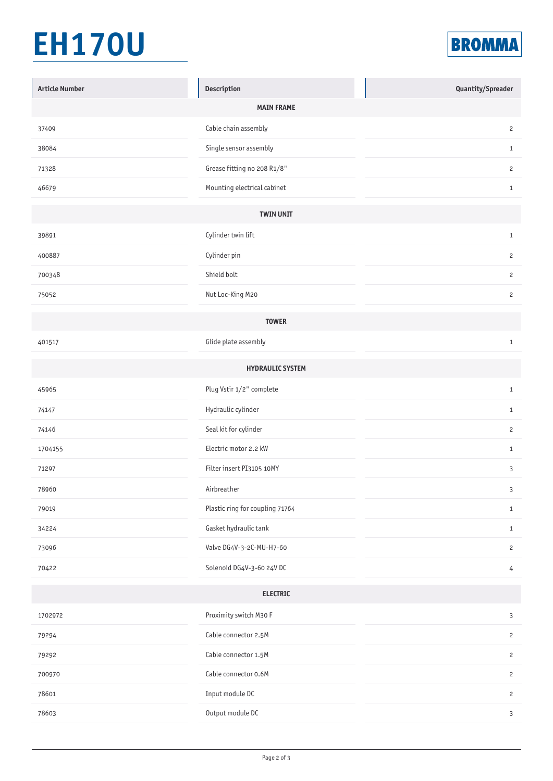## **EH170U**



| <b>Article Number</b> | Description                     | Quantity/Spreader |  |  |
|-----------------------|---------------------------------|-------------------|--|--|
|                       | <b>MAIN FRAME</b>               |                   |  |  |
| 37409                 | Cable chain assembly            | $\overline{c}$    |  |  |
| 38084                 | Single sensor assembly          | $\mathbf{1}$      |  |  |
| 71328                 | Grease fitting no 208 R1/8"     | $\overline{c}$    |  |  |
| 46679                 | Mounting electrical cabinet     | $\mathbf{1}$      |  |  |
|                       | <b>TWIN UNIT</b>                |                   |  |  |
| 39891                 | Cylinder twin lift              | $\mathbf{1}$      |  |  |
| 400887                | Cylinder pin                    | $\overline{c}$    |  |  |
| 700348                | Shield bolt                     | $\overline{c}$    |  |  |
| 75052                 | Nut Loc-King M20                | $\overline{c}$    |  |  |
| <b>TOWER</b>          |                                 |                   |  |  |
| 401517                | Glide plate assembly            | $\mathbf{1}$      |  |  |
|                       | <b>HYDRAULIC SYSTEM</b>         |                   |  |  |
| 45965                 | Plug Vstir 1/2" complete        | $\mathbf{1}$      |  |  |
| 74147                 | Hydraulic cylinder              | $\mathbf{1}$      |  |  |
| 74146                 | Seal kit for cylinder           | $\overline{c}$    |  |  |
| 1704155               | Electric motor 2.2 kW           | $\mathbf{1}$      |  |  |
| 71297                 | Filter insert PI3105 10MY       | $\mathbf{3}$      |  |  |
| 78960                 | Airbreather                     | 3                 |  |  |
| 79019                 | Plastic ring for coupling 71764 | $\mathbf{1}$      |  |  |
| 34224                 | Gasket hydraulic tank           | $\mathbf{1}$      |  |  |
| 73096                 | Valve DG4V-3-2C-MU-H7-60        | $\overline{c}$    |  |  |
| 70422                 | Solenoid DG4V-3-60 24V DC       | $\overline{4}$    |  |  |
| <b>ELECTRIC</b>       |                                 |                   |  |  |
| 1702972               | Proximity switch M30 F          | $\mathsf 3$       |  |  |
| 79294                 | Cable connector 2.5M            | $\overline{c}$    |  |  |
| 79292                 | Cable connector 1.5M            | $\overline{c}$    |  |  |
| 700970                | Cable connector 0.6M            | $\overline{c}$    |  |  |
| 78601                 | Input module DC                 | $\overline{c}$    |  |  |
| 78603                 | Output module DC                | $\mathbf{3}$      |  |  |